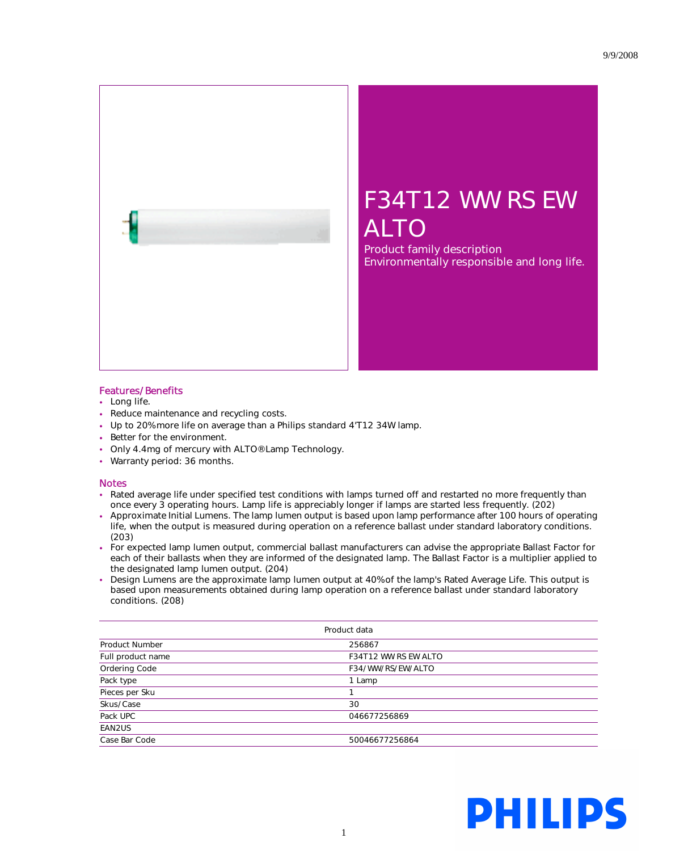

## F34T12 WW RS EW ALTO

Product family description Environmentally responsible and long life.

## Features/Benefits

- Long life.
- Reduce maintenance and recycling costs.
- Up to 20% more life on average than a Philips standard 4'T12 34W lamp.
- Better for the environment.
- Only 4.4mg of mercury with ALTO® Lamp Technology.
- Warranty period: 36 months.

## **Notes**

- Rated average life under specified test conditions with lamps turned off and restarted no more frequently than once every 3 operating hours. Lamp life is appreciably longer if lamps are started less frequently. (202)
- Approximate Initial Lumens. The lamp lumen output is based upon lamp performance after 100 hours of operating life, when the output is measured during operation on a reference ballast under standard laboratory conditions. (203)
- For expected lamp lumen output, commercial ballast manufacturers can advise the appropriate Ballast Factor for each of their ballasts when they are informed of the designated lamp. The Ballast Factor is a multiplier applied to the designated lamp lumen output. (204)
- Design Lumens are the approximate lamp lumen output at 40% of the lamp's Rated Average Life. This output is based upon measurements obtained during lamp operation on a reference ballast under standard laboratory conditions. (208)

| Product data          |                             |  |
|-----------------------|-----------------------------|--|
| <b>Product Number</b> | 256867                      |  |
| Full product name     | <b>F34T12 WW RS EW ALTO</b> |  |
| Ordering Code         | F34/WW/RS/EW/ALTO           |  |
| Pack type             | 1 Lamp                      |  |
| Pieces per Sku        |                             |  |
| Skus/Case             | 30                          |  |
| Pack UPC              | 046677256869                |  |
| EAN2US                |                             |  |
| Case Bar Code         | 50046677256864              |  |

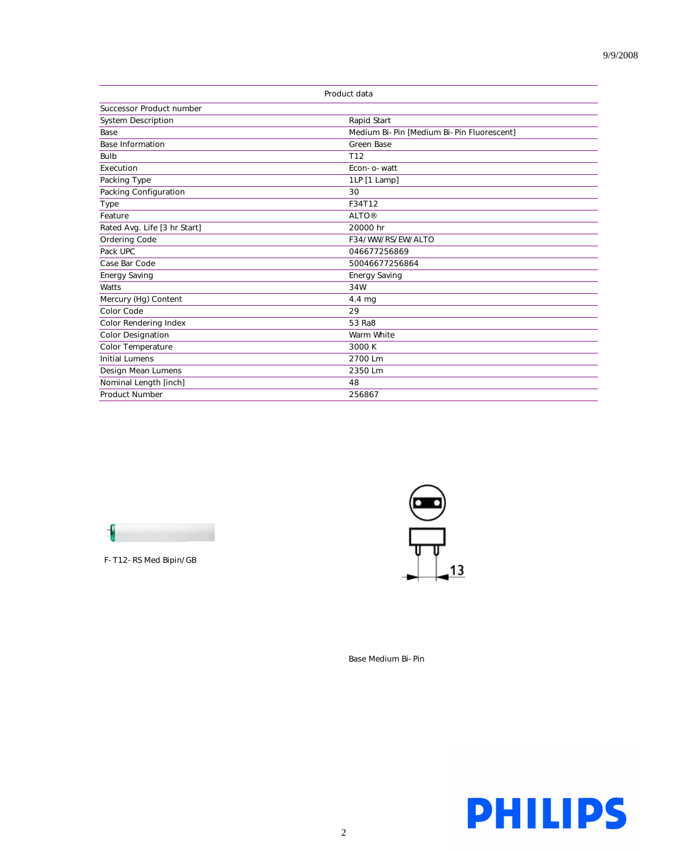| Product data                 |                                           |
|------------------------------|-------------------------------------------|
| Successor Product number     |                                           |
| <b>System Description</b>    | Rapid Start                               |
| Base                         | Medium Bi-Pin [Medium Bi-Pin Fluorescent] |
| <b>Base Information</b>      | <b>Green Base</b>                         |
| Bulb                         | T12                                       |
| Execution                    | Econ- o-watt                              |
| Packing Type                 | 1LP [1 Lamp]                              |
| Packing Configuration        | 30                                        |
| <b>Type</b>                  | F34T12                                    |
| Feature                      | <b>ALTO®</b>                              |
| Rated Avg. Life [3 hr Start] | 20000 hr                                  |
| Ordering Code                | F34/WW/RS/EW/ALTO                         |
| Pack UPC                     | 046677256869                              |
| Case Bar Code                | 50046677256864                            |
| <b>Energy Saving</b>         | <b>Energy Saving</b>                      |
| Watts                        | 34W                                       |
| Mercury (Hg) Content         | $4.4 \text{ mg}$                          |
| Color Code                   | 29                                        |
| Color Rendering Index        | 53 Ra8                                    |
| <b>Color Designation</b>     | Warm White                                |
| Color Temperature            | 3000 K                                    |
| <b>Initial Lumens</b>        | 2700 Lm                                   |
| Design Mean Lumens           | 2350 Lm                                   |
| Nominal Length [inch]        | 48                                        |
| <b>Product Number</b>        | 256867                                    |



F-T12-RS Med Bipin/GB



Base Medium Bi-Pin